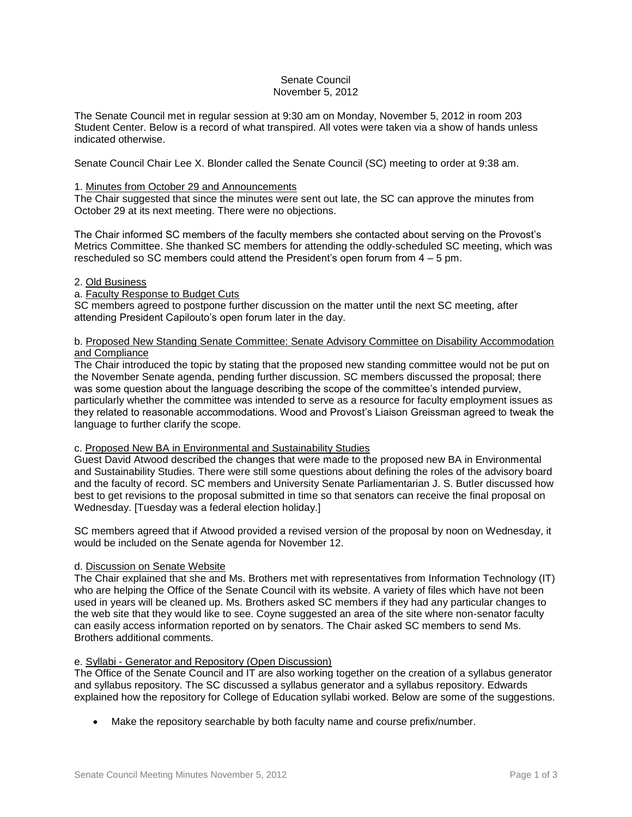### Senate Council November 5, 2012

The Senate Council met in regular session at 9:30 am on Monday, November 5, 2012 in room 203 Student Center. Below is a record of what transpired. All votes were taken via a show of hands unless indicated otherwise.

Senate Council Chair Lee X. Blonder called the Senate Council (SC) meeting to order at 9:38 am.

## 1. Minutes from October 29 and Announcements

The Chair suggested that since the minutes were sent out late, the SC can approve the minutes from October 29 at its next meeting. There were no objections.

The Chair informed SC members of the faculty members she contacted about serving on the Provost's Metrics Committee. She thanked SC members for attending the oddly-scheduled SC meeting, which was rescheduled so SC members could attend the President's open forum from 4 – 5 pm.

# 2. Old Business

# a. Faculty Response to Budget Cuts

SC members agreed to postpone further discussion on the matter until the next SC meeting, after attending President Capilouto's open forum later in the day.

### b. Proposed New Standing Senate Committee: Senate Advisory Committee on Disability Accommodation and Compliance

The Chair introduced the topic by stating that the proposed new standing committee would not be put on the November Senate agenda, pending further discussion. SC members discussed the proposal; there was some question about the language describing the scope of the committee's intended purview, particularly whether the committee was intended to serve as a resource for faculty employment issues as they related to reasonable accommodations. Wood and Provost's Liaison Greissman agreed to tweak the language to further clarify the scope.

### c. Proposed New BA in Environmental and Sustainability Studies

Guest David Atwood described the changes that were made to the proposed new BA in Environmental and Sustainability Studies. There were still some questions about defining the roles of the advisory board and the faculty of record. SC members and University Senate Parliamentarian J. S. Butler discussed how best to get revisions to the proposal submitted in time so that senators can receive the final proposal on Wednesday. [Tuesday was a federal election holiday.]

SC members agreed that if Atwood provided a revised version of the proposal by noon on Wednesday, it would be included on the Senate agenda for November 12.

### d. Discussion on Senate Website

The Chair explained that she and Ms. Brothers met with representatives from Information Technology (IT) who are helping the Office of the Senate Council with its website. A variety of files which have not been used in years will be cleaned up. Ms. Brothers asked SC members if they had any particular changes to the web site that they would like to see. Coyne suggested an area of the site where non-senator faculty can easily access information reported on by senators. The Chair asked SC members to send Ms. Brothers additional comments.

### e. Syllabi - Generator and Repository (Open Discussion)

The Office of the Senate Council and IT are also working together on the creation of a syllabus generator and syllabus repository. The SC discussed a syllabus generator and a syllabus repository. Edwards explained how the repository for College of Education syllabi worked. Below are some of the suggestions.

Make the repository searchable by both faculty name and course prefix/number.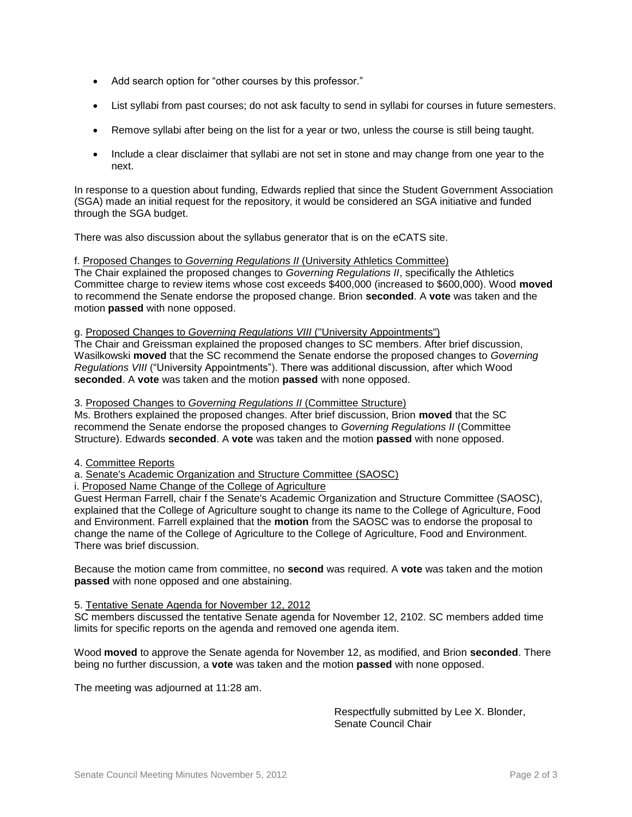- Add search option for "other courses by this professor."
- List syllabi from past courses; do not ask faculty to send in syllabi for courses in future semesters.
- Remove syllabi after being on the list for a year or two, unless the course is still being taught.
- Include a clear disclaimer that syllabi are not set in stone and may change from one year to the next.

In response to a question about funding, Edwards replied that since the Student Government Association (SGA) made an initial request for the repository, it would be considered an SGA initiative and funded through the SGA budget.

There was also discussion about the syllabus generator that is on the eCATS site.

f. Proposed Changes to *Governing Regulations II* (University Athletics Committee)

The Chair explained the proposed changes to *Governing Regulations II*, specifically the Athletics Committee charge to review items whose cost exceeds \$400,000 (increased to \$600,000). Wood **moved** to recommend the Senate endorse the proposed change. Brion **seconded**. A **vote** was taken and the motion **passed** with none opposed.

# g. Proposed Changes to *Governing Regulations VIII* ("University Appointments")

The Chair and Greissman explained the proposed changes to SC members. After brief discussion, Wasilkowski **moved** that the SC recommend the Senate endorse the proposed changes to *Governing Regulations VIII* ("University Appointments"). There was additional discussion, after which Wood **seconded**. A **vote** was taken and the motion **passed** with none opposed.

#### 3. Proposed Changes to *Governing Regulations II* (Committee Structure)

Ms. Brothers explained the proposed changes. After brief discussion, Brion **moved** that the SC recommend the Senate endorse the proposed changes to *Governing Regulations II* (Committee Structure). Edwards **seconded**. A **vote** was taken and the motion **passed** with none opposed.

- 4. Committee Reports
- a. Senate's Academic Organization and Structure Committee (SAOSC)

i. Proposed Name Change of the College of Agriculture

Guest Herman Farrell, chair f the Senate's Academic Organization and Structure Committee (SAOSC), explained that the College of Agriculture sought to change its name to the College of Agriculture, Food and Environment. Farrell explained that the **motion** from the SAOSC was to endorse the proposal to change the name of the College of Agriculture to the College of Agriculture, Food and Environment. There was brief discussion.

Because the motion came from committee, no **second** was required. A **vote** was taken and the motion **passed** with none opposed and one abstaining.

#### 5. Tentative Senate Agenda for November 12, 2012

SC members discussed the tentative Senate agenda for November 12, 2102. SC members added time limits for specific reports on the agenda and removed one agenda item.

Wood **moved** to approve the Senate agenda for November 12, as modified, and Brion **seconded**. There being no further discussion, a **vote** was taken and the motion **passed** with none opposed.

The meeting was adjourned at 11:28 am.

Respectfully submitted by Lee X. Blonder, Senate Council Chair